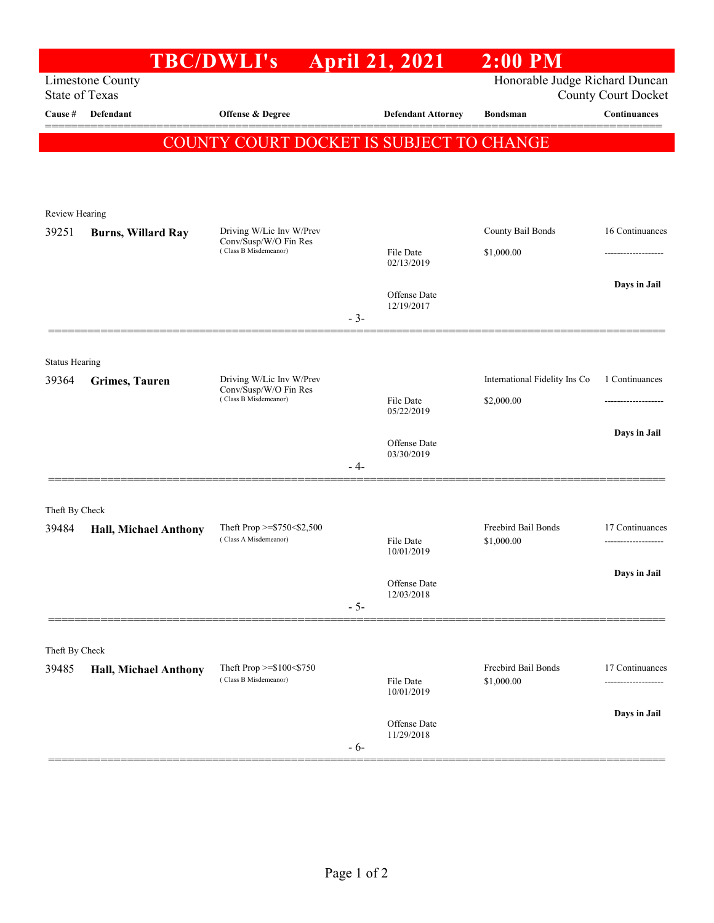|                                |                           | <b>TBC/DWLI's</b>                                                          |       | <b>April 21, 2021</b>      | $2:00$ PM                     |                 |
|--------------------------------|---------------------------|----------------------------------------------------------------------------|-------|----------------------------|-------------------------------|-----------------|
|                                | <b>Limestone County</b>   | Honorable Judge Richard Duncan                                             |       |                            |                               |                 |
| <b>State of Texas</b>          |                           |                                                                            |       |                            | <b>County Court Docket</b>    |                 |
| Cause #                        | Defendant                 | Offense & Degree                                                           |       | <b>Defendant Attorney</b>  | <b>Bondsman</b>               | Continuances    |
|                                |                           | COUNTY COURT DOCKET IS SUBJECT TO CHANGE                                   |       |                            |                               |                 |
|                                |                           |                                                                            |       |                            |                               |                 |
|                                |                           |                                                                            |       |                            |                               |                 |
| Review Hearing                 |                           |                                                                            |       |                            |                               |                 |
| 39251                          | <b>Burns, Willard Ray</b> | Driving W/Lic Inv W/Prev<br>Conv/Susp/W/O Fin Res<br>(Class B Misdemeanor) |       |                            | County Bail Bonds             | 16 Continuances |
|                                |                           |                                                                            |       | File Date<br>02/13/2019    | \$1,000.00                    |                 |
|                                |                           |                                                                            |       |                            |                               | Days in Jail    |
|                                |                           |                                                                            |       | Offense Date<br>12/19/2017 |                               |                 |
|                                |                           |                                                                            | $-3-$ |                            |                               |                 |
|                                |                           |                                                                            |       |                            |                               |                 |
| <b>Status Hearing</b><br>39364 | <b>Grimes</b> , Tauren    | Driving W/Lic Inv W/Prev                                                   |       |                            | International Fidelity Ins Co | 1 Continuances  |
|                                |                           | Conv/Susp/W/O Fin Res<br>(Class B Misdemeanor)                             |       | File Date                  | \$2,000.00                    | --------------- |
|                                |                           |                                                                            |       | 05/22/2019                 |                               |                 |
|                                |                           |                                                                            |       |                            |                               | Days in Jail    |
|                                |                           |                                                                            |       | Offense Date<br>03/30/2019 |                               |                 |
|                                |                           |                                                                            | - 4-  |                            |                               |                 |
| Theft By Check                 |                           |                                                                            |       |                            |                               |                 |
| 39484                          | Hall, Michael Anthony     | Theft Prop $>=$ \$750 < \$2,500<br>(Class A Misdemeanor)                   |       |                            | Freebird Bail Bonds           | 17 Continuances |
|                                |                           |                                                                            |       | File Date<br>10/01/2019    | \$1,000.00                    |                 |
|                                |                           |                                                                            |       |                            |                               | Days in Jail    |
|                                |                           |                                                                            |       | Offense Date<br>12/03/2018 |                               |                 |
|                                |                           |                                                                            | $-5-$ |                            |                               |                 |
|                                |                           |                                                                            |       |                            |                               |                 |
| Theft By Check<br>39485        | Hall, Michael Anthony     | Theft Prop $>= $100 < $750$<br>(Class B Misdemeanor)                       |       |                            | Freebird Bail Bonds           | 17 Continuances |
|                                |                           |                                                                            |       | File Date<br>10/01/2019    | \$1,000.00                    |                 |
|                                |                           |                                                                            |       |                            |                               |                 |
|                                |                           |                                                                            |       | Offense Date               |                               | Days in Jail    |
|                                |                           |                                                                            | $-6-$ | 11/29/2018                 |                               |                 |
|                                |                           |                                                                            |       |                            |                               |                 |